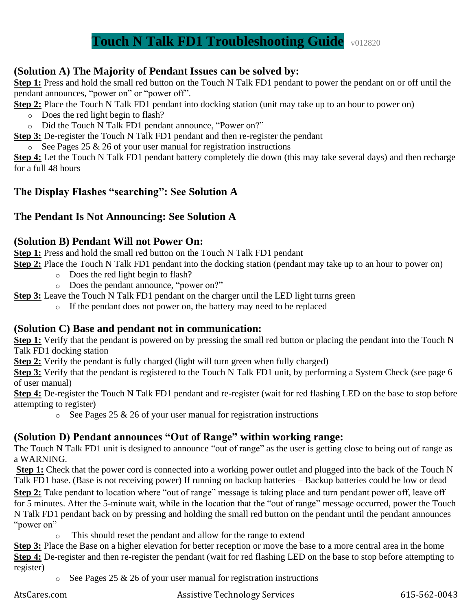# **Touch N Talk FD1 Troubleshooting Guide** v012820

#### **(Solution A) The Majority of Pendant Issues can be solved by:**

**Step 1:** Press and hold the small red button on the Touch N Talk FD1 pendant to power the pendant on or off until the pendant announces, "power on" or "power off".

**Step 2:** Place the Touch N Talk FD1 pendant into docking station (unit may take up to an hour to power on)

- o Does the red light begin to flash?
- o Did the Touch N Talk FD1 pendant announce, "Power on?"

**Step 3:** De-register the Touch N Talk FD1 pendant and then re-register the pendant

 $\overline{\circ}$  See Pages 25 & 26 of your user manual for registration instructions

**Step 4:** Let the Touch N Talk FD1 pendant battery completely die down (this may take several days) and then recharge for a full 48 hours

#### **The Display Flashes "searching": See Solution A**

#### **The Pendant Is Not Announcing: See Solution A**

#### **(Solution B) Pendant Will not Power On:**

**Step 1:** Press and hold the small red button on the Touch N Talk FD1 pendant

**Step 2:** Place the Touch N Talk FD1 pendant into the docking station (pendant may take up to an hour to power on)

- o Does the red light begin to flash?
- o Does the pendant announce, "power on?"

**Step 3:** Leave the Touch N Talk FD1 pendant on the charger until the LED light turns green

o If the pendant does not power on, the battery may need to be replaced

#### **(Solution C) Base and pendant not in communication:**

**Step 1:** Verify that the pendant is powered on by pressing the small red button or placing the pendant into the Touch N Talk FD1 docking station

**Step 2:** Verify the pendant is fully charged (light will turn green when fully charged)

**Step 3:** Verify that the pendant is registered to the Touch N Talk FD1 unit, by performing a System Check (see page 6 of user manual)

**Step 4:** De-register the Touch N Talk FD1 pendant and re-register (wait for red flashing LED on the base to stop before attempting to register)

 $\circ$  See Pages 25 & 26 of your user manual for registration instructions

#### **(Solution D) Pendant announces "Out of Range" within working range:**

The Touch N Talk FD1 unit is designed to announce "out of range" as the user is getting close to being out of range as a WARNING.

**Step 1:** Check that the power cord is connected into a working power outlet and plugged into the back of the Touch N Talk FD1 base. (Base is not receiving power) If running on backup batteries – Backup batteries could be low or dead **Step 2:** Take pendant to location where "out of range" message is taking place and turn pendant power off, leave off for 5 minutes. After the 5-minute wait, while in the location that the "out of range" message occurred, power the Touch N Talk FD1 pendant back on by pressing and holding the small red button on the pendant until the pendant announces "power on"

This should reset the pendant and allow for the range to extend

**Step 3:** Place the Base on a higher elevation for better reception or move the base to a more central area in the home **Step 4:** De-register and then re-register the pendant (wait for red flashing LED on the base to stop before attempting to register)

 $\circ$  See Pages 25 & 26 of your user manual for registration instructions

AtsCares.com Assistive Technology Services 615-562-0043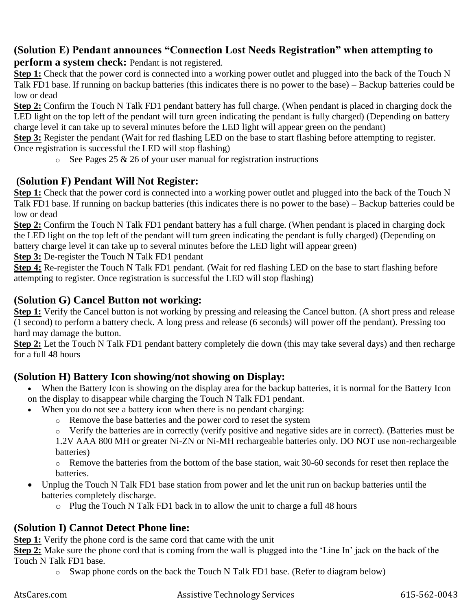## **(Solution E) Pendant announces "Connection Lost Needs Registration" when attempting to**

**perform a system check:** Pendant is not registered.

**Step 1:** Check that the power cord is connected into a working power outlet and plugged into the back of the Touch N Talk FD1 base. If running on backup batteries (this indicates there is no power to the base) – Backup batteries could be low or dead

**Step 2:** Confirm the Touch N Talk FD1 pendant battery has full charge. (When pendant is placed in charging dock the LED light on the top left of the pendant will turn green indicating the pendant is fully charged) (Depending on battery charge level it can take up to several minutes before the LED light will appear green on the pendant)

**Step 3:** Register the pendant (Wait for red flashing LED on the base to start flashing before attempting to register. Once registration is successful the LED will stop flashing)

 $\circ$  See Pages 25 & 26 of your user manual for registration instructions

### **(Solution F) Pendant Will Not Register:**

**Step 1:** Check that the power cord is connected into a working power outlet and plugged into the back of the Touch N Talk FD1 base. If running on backup batteries (this indicates there is no power to the base) – Backup batteries could be low or dead

**Step 2:** Confirm the Touch N Talk FD1 pendant battery has a full charge. (When pendant is placed in charging dock the LED light on the top left of the pendant will turn green indicating the pendant is fully charged) (Depending on battery charge level it can take up to several minutes before the LED light will appear green)

**Step 3:** De-register the Touch N Talk FD1 pendant

**Step 4:** Re-register the Touch N Talk FD1 pendant. (Wait for red flashing LED on the base to start flashing before attempting to register. Once registration is successful the LED will stop flashing)

#### **(Solution G) Cancel Button not working:**

**Step 1:** Verify the Cancel button is not working by pressing and releasing the Cancel button. (A short press and release  $(1 \text{ second})$  to perform a battery check. A long press and release (6 seconds) will power off the pendant). Pressing too hard may damage the button.

**Step 2:** Let the Touch N Talk FD1 pendant battery completely die down (this may take several days) and then recharge for a full 48 hours

## **(Solution H) Battery Icon showing/not showing on Display:**

- When the Battery Icon is showing on the display area for the backup batteries, it is normal for the Battery Icon on the display to disappear while charging the Touch N Talk FD1 pendant.
- When you do not see a battery icon when there is no pendant charging:
	- o Remove the base batteries and the power cord to reset the system

o Verify the batteries are in correctly (verify positive and negative sides are in correct). (Batteries must be

1.2V AAA 800 MH or greater Ni-ZN or Ni-MH rechargeable batteries only. DO NOT use non-rechargeable batteries)

o Remove the batteries from the bottom of the base station, wait 30-60 seconds for reset then replace the batteries.

- Unplug the Touch N Talk FD1 base station from power and let the unit run on backup batteries until the batteries completely discharge.
	- o Plug the Touch N Talk FD1 back in to allow the unit to charge a full 48 hours

#### **(Solution I) Cannot Detect Phone line:**

**Step 1:** Verify the phone cord is the same cord that came with the unit

**Step 2:** Make sure the phone cord that is coming from the wall is plugged into the 'Line In' jack on the back of the Touch N Talk FD1 base.

o Swap phone cords on the back the Touch N Talk FD1 base. (Refer to diagram below)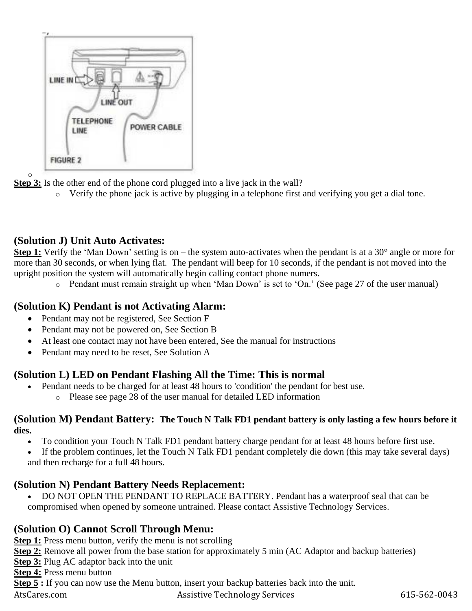

o **Step 3:** Is the other end of the phone cord plugged into a live jack in the wall?

Verify the phone jack is active by plugging in a telephone first and verifying you get a dial tone.

## **(Solution J) Unit Auto Activates:**

**Step 1:** Verify the 'Man Down' setting is on – the system auto-activates when the pendant is at a 30° angle or more for more than 30 seconds, or when lying flat. The pendant will beep for 10 seconds, if the pendant is not moved into the upright position the system will automatically begin calling contact phone numers.

o Pendant must remain straight up when 'Man Down' is set to 'On.' (See page 27 of the user manual)

## **(Solution K) Pendant is not Activating Alarm:**

- Pendant may not be registered, See Section F
- Pendant may not be powered on, See Section B
- At least one contact may not have been entered, See the manual for instructions
- Pendant may need to be reset, See Solution A

## **(Solution L) LED on Pendant Flashing All the Time: This is normal**

- Pendant needs to be charged for at least 48 hours to 'condition' the pendant for best use.
	- o Please see page 28 of the user manual for detailed LED information

#### **(Solution M) Pendant Battery: The Touch N Talk FD1 pendant battery is only lasting a few hours before it dies.**

- To condition your Touch N Talk FD1 pendant battery charge pendant for at least 48 hours before first use.
- If the problem continues, let the Touch N Talk FD1 pendant completely die down (this may take several days) and then recharge for a full 48 hours.

## **(Solution N) Pendant Battery Needs Replacement:**

• DO NOT OPEN THE PENDANT TO REPLACE BATTERY. Pendant has a waterproof seal that can be compromised when opened by someone untrained. Please contact Assistive Technology Services.

## **(Solution O) Cannot Scroll Through Menu:**

**Step 1:** Press menu button, verify the menu is not scrolling

**Step 2:** Remove all power from the base station for approximately 5 min (AC Adaptor and backup batteries)

**Step 3:** Plug AC adaptor back into the unit

**Step 4:** Press menu button

**Step 5 :** If you can now use the Menu button, insert your backup batteries back into the unit.

AtsCares.com Assistive Technology Services 615-562-0043